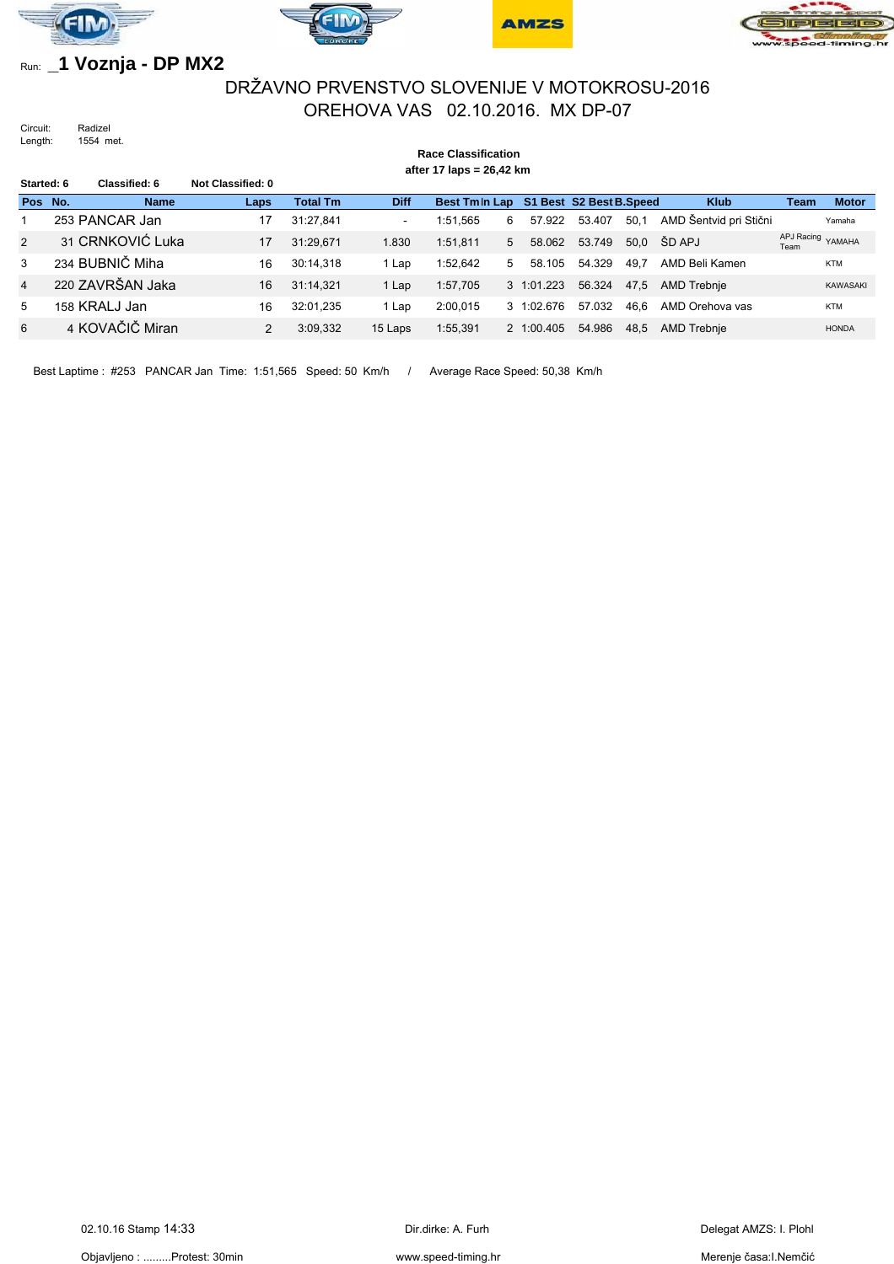







# Run: **\_1 Voznja - DP MX2**

## DRŽAVNO PRVENSTVO SLOVENIJE V MOTOKROSU-2016 OREHOVA VAS 02.10.2016. MX DP-07

Circuit: Radizel<br>Length: 1554 m 1554 met.

# **Race Classification**

**after 17 laps = 26,42 km**

| Started: 6 |  | Classified: 6    | Not Classified: 0 |                 |                          |                                        |   |                |        |      |                        |      |                   |
|------------|--|------------------|-------------------|-----------------|--------------------------|----------------------------------------|---|----------------|--------|------|------------------------|------|-------------------|
| Pos No.    |  | <b>Name</b>      | Laps              | <b>Total Tm</b> | <b>Diff</b>              | Best Tmln Lap S1 Best S2 Best B. Speed |   |                |        |      | <b>Klub</b>            | Team | <b>Motor</b>      |
|            |  | 253 PANCAR Jan   | 17                | 31:27.841       | $\overline{\phantom{a}}$ | 1:51.565                               | 6 | 57.922         | 53.407 | 50.1 | AMD Šentvid pri Stični |      | Yamaha            |
| 2          |  | 31 CRNKOVIĆ Luka | 17                | 31:29.671       | 1.830                    | 1:51.811                               | 5 | 58.062         | 53.749 | 50.0 | ŠD APJ                 | Team | APJ Racing YAMAHA |
| 3          |  | 234 BUBNIČ Miha  | 16                | 30:14.318       | 1 Lap                    | 1:52.642                               | 5 | 58.105         | 54.329 | 49.7 | AMD Beli Kamen         |      | <b>KTM</b>        |
| 4          |  | 220 ZAVRŠAN Jaka | 16                | 31:14.321       | 1 Lap                    | 1:57,705                               |   | 3 1:01.223     | 56.324 | 47,5 | AMD Trebnje            |      | <b>KAWASAKI</b>   |
| 5          |  | 158 KRALJ Jan    | 16                | 32:01.235       | 1 Lap                    | 2:00.015                               |   | $3 \t1:02.676$ | 57.032 | 46.6 | AMD Orehova vas        |      | <b>KTM</b>        |
| 6          |  | 4 KOVAČIČ Miran  |                   | 3:09,332        | 15 Laps                  | 1:55,391                               |   | 2 1:00.405     | 54.986 | 48,5 | AMD Trebnje            |      | <b>HONDA</b>      |

Best Laptime : #253 PANCAR Jan Time: 1:51,565 Speed: 50 Km/h / Average Race Speed: 50,38 Km/h